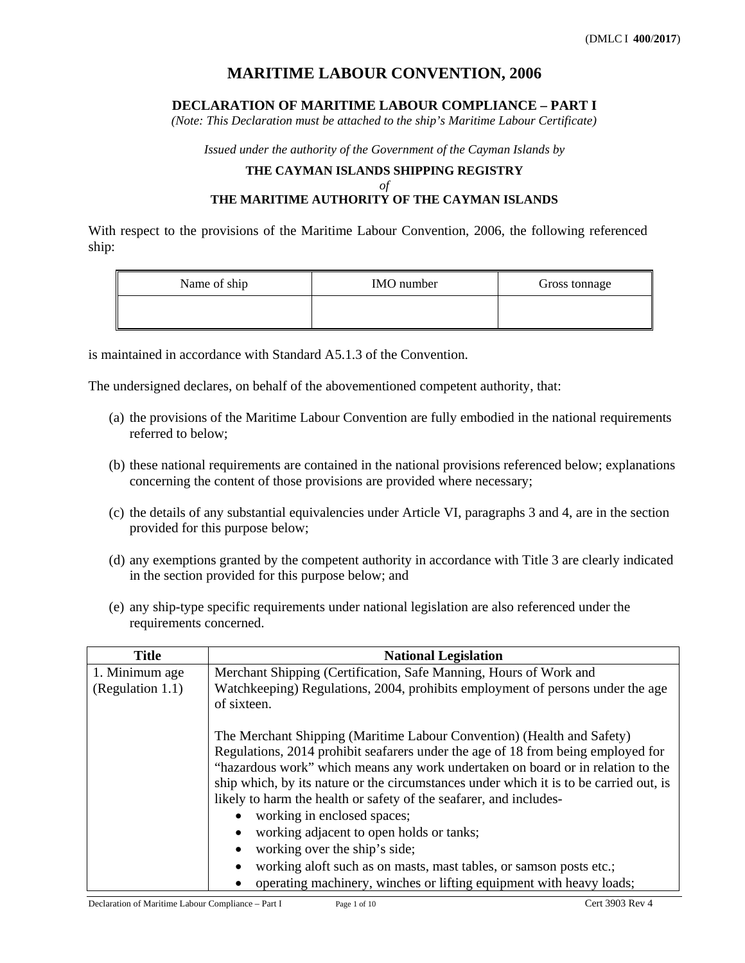# **MARITIME LABOUR CONVENTION, 2006**

### **DECLARATION OF MARITIME LABOUR COMPLIANCE – PART I**

*(Note: This Declaration must be attached to the ship's Maritime Labour Certificate)* 

*Issued under the authority of the Government of the Cayman Islands by* 

## **THE CAYMAN ISLANDS SHIPPING REGISTRY** *of*  **THE MARITIME AUTHORITY OF THE CAYMAN ISLANDS**

With respect to the provisions of the Maritime Labour Convention, 2006, the following referenced ship:

| Name of ship | <b>IMO</b> number | Gross tonnage |
|--------------|-------------------|---------------|
|              |                   |               |

is maintained in accordance with Standard A5.1.3 of the Convention.

The undersigned declares, on behalf of the abovementioned competent authority, that:

- (a) the provisions of the Maritime Labour Convention are fully embodied in the national requirements referred to below;
- (b) these national requirements are contained in the national provisions referenced below; explanations concerning the content of those provisions are provided where necessary;
- (c) the details of any substantial equivalencies under Article VI, paragraphs 3 and 4, are in the section provided for this purpose below;
- (d) any exemptions granted by the competent authority in accordance with Title 3 are clearly indicated in the section provided for this purpose below; and
- (e) any ship-type specific requirements under national legislation are also referenced under the requirements concerned.

| <b>Title</b>     | <b>National Legislation</b>                                                            |
|------------------|----------------------------------------------------------------------------------------|
| 1. Minimum age   | Merchant Shipping (Certification, Safe Manning, Hours of Work and                      |
| (Regulation 1.1) | Watchkeeping) Regulations, 2004, prohibits employment of persons under the age         |
|                  | of sixteen.                                                                            |
|                  |                                                                                        |
|                  | The Merchant Shipping (Maritime Labour Convention) (Health and Safety)                 |
|                  | Regulations, 2014 prohibit seafarers under the age of 18 from being employed for       |
|                  | "hazardous work" which means any work undertaken on board or in relation to the        |
|                  | ship which, by its nature or the circumstances under which it is to be carried out, is |
|                  | likely to harm the health or safety of the seafarer, and includes-                     |
|                  | working in enclosed spaces;                                                            |
|                  | working adjacent to open holds or tanks;                                               |
|                  | working over the ship's side;                                                          |
|                  | working aloft such as on masts, mast tables, or samson posts etc.;                     |
|                  | operating machinery, winches or lifting equipment with heavy loads;                    |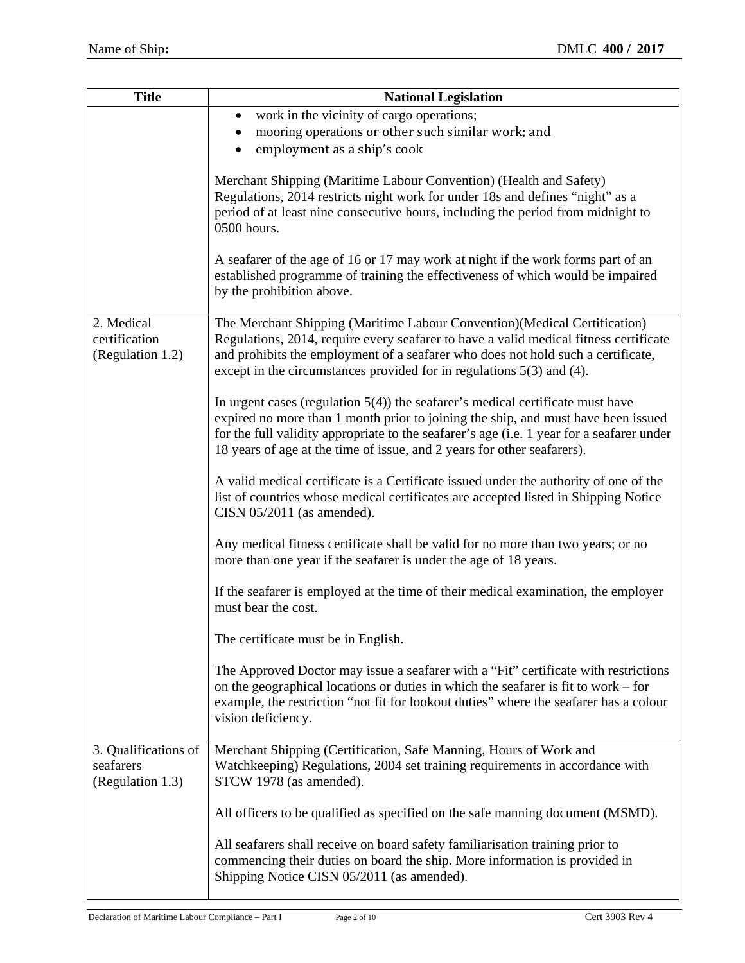| <b>Title</b>                                          | <b>National Legislation</b>                                                                                                                                                                                                                                                                                                                    |
|-------------------------------------------------------|------------------------------------------------------------------------------------------------------------------------------------------------------------------------------------------------------------------------------------------------------------------------------------------------------------------------------------------------|
|                                                       | work in the vicinity of cargo operations;<br>$\bullet$<br>mooring operations or other such similar work; and<br>employment as a ship's cook<br>$\bullet$                                                                                                                                                                                       |
|                                                       | Merchant Shipping (Maritime Labour Convention) (Health and Safety)<br>Regulations, 2014 restricts night work for under 18s and defines "night" as a<br>period of at least nine consecutive hours, including the period from midnight to<br>0500 hours.                                                                                         |
|                                                       | A seafarer of the age of 16 or 17 may work at night if the work forms part of an<br>established programme of training the effectiveness of which would be impaired<br>by the prohibition above.                                                                                                                                                |
| 2. Medical<br>certification<br>(Regulation 1.2)       | The Merchant Shipping (Maritime Labour Convention) (Medical Certification)<br>Regulations, 2014, require every seafarer to have a valid medical fitness certificate<br>and prohibits the employment of a seafarer who does not hold such a certificate,<br>except in the circumstances provided for in regulations $5(3)$ and (4).             |
|                                                       | In urgent cases (regulation $5(4)$ ) the seafarer's medical certificate must have<br>expired no more than 1 month prior to joining the ship, and must have been issued<br>for the full validity appropriate to the seafarer's age (i.e. 1 year for a seafarer under<br>18 years of age at the time of issue, and 2 years for other seafarers). |
|                                                       | A valid medical certificate is a Certificate issued under the authority of one of the<br>list of countries whose medical certificates are accepted listed in Shipping Notice<br>CISN $05/2011$ (as amended).                                                                                                                                   |
|                                                       | Any medical fitness certificate shall be valid for no more than two years; or no<br>more than one year if the seafarer is under the age of 18 years.                                                                                                                                                                                           |
|                                                       | If the seafarer is employed at the time of their medical examination, the employer<br>must bear the cost.                                                                                                                                                                                                                                      |
|                                                       | The certificate must be in English.                                                                                                                                                                                                                                                                                                            |
|                                                       | The Approved Doctor may issue a seafarer with a "Fit" certificate with restrictions<br>on the geographical locations or duties in which the seafarer is fit to work – for<br>example, the restriction "not fit for lookout duties" where the seafarer has a colour<br>vision deficiency.                                                       |
| 3. Qualifications of<br>seafarers<br>(Regulation 1.3) | Merchant Shipping (Certification, Safe Manning, Hours of Work and<br>Watchkeeping) Regulations, 2004 set training requirements in accordance with<br>STCW 1978 (as amended).                                                                                                                                                                   |
|                                                       | All officers to be qualified as specified on the safe manning document (MSMD).                                                                                                                                                                                                                                                                 |
|                                                       | All seafarers shall receive on board safety familiarisation training prior to<br>commencing their duties on board the ship. More information is provided in<br>Shipping Notice CISN 05/2011 (as amended).                                                                                                                                      |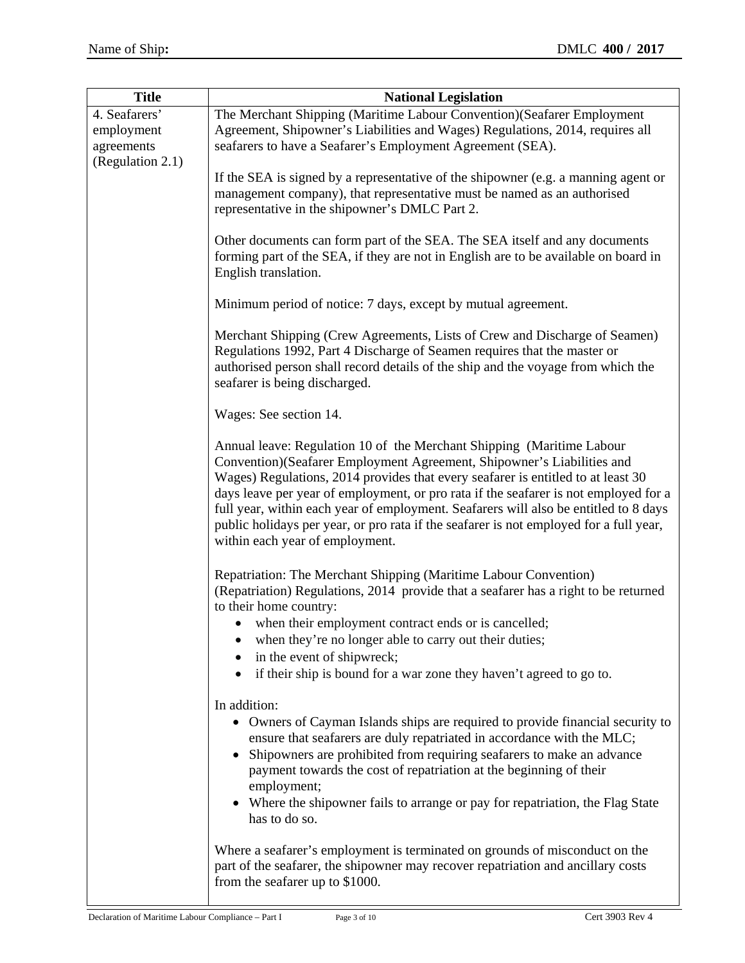| <b>Title</b>                                                  | <b>National Legislation</b>                                                                                                                                                                                                                                                                                                                                                                                                                                                                                                                       |
|---------------------------------------------------------------|---------------------------------------------------------------------------------------------------------------------------------------------------------------------------------------------------------------------------------------------------------------------------------------------------------------------------------------------------------------------------------------------------------------------------------------------------------------------------------------------------------------------------------------------------|
| 4. Seafarers'<br>employment<br>agreements<br>(Regulation 2.1) | The Merchant Shipping (Maritime Labour Convention) (Seafarer Employment<br>Agreement, Shipowner's Liabilities and Wages) Regulations, 2014, requires all<br>seafarers to have a Seafarer's Employment Agreement (SEA).                                                                                                                                                                                                                                                                                                                            |
|                                                               | If the SEA is signed by a representative of the shipowner (e.g. a manning agent or<br>management company), that representative must be named as an authorised<br>representative in the shipowner's DMLC Part 2.                                                                                                                                                                                                                                                                                                                                   |
|                                                               | Other documents can form part of the SEA. The SEA itself and any documents<br>forming part of the SEA, if they are not in English are to be available on board in<br>English translation.                                                                                                                                                                                                                                                                                                                                                         |
|                                                               | Minimum period of notice: 7 days, except by mutual agreement.                                                                                                                                                                                                                                                                                                                                                                                                                                                                                     |
|                                                               | Merchant Shipping (Crew Agreements, Lists of Crew and Discharge of Seamen)<br>Regulations 1992, Part 4 Discharge of Seamen requires that the master or<br>authorised person shall record details of the ship and the voyage from which the<br>seafarer is being discharged.                                                                                                                                                                                                                                                                       |
|                                                               | Wages: See section 14.                                                                                                                                                                                                                                                                                                                                                                                                                                                                                                                            |
|                                                               | Annual leave: Regulation 10 of the Merchant Shipping (Maritime Labour<br>Convention) (Seafarer Employment Agreement, Shipowner's Liabilities and<br>Wages) Regulations, 2014 provides that every seafarer is entitled to at least 30<br>days leave per year of employment, or pro rata if the seafarer is not employed for a<br>full year, within each year of employment. Seafarers will also be entitled to 8 days<br>public holidays per year, or pro rata if the seafarer is not employed for a full year,<br>within each year of employment. |
|                                                               | Repatriation: The Merchant Shipping (Maritime Labour Convention)<br>(Repatriation) Regulations, 2014 provide that a seafarer has a right to be returned<br>to their home country:                                                                                                                                                                                                                                                                                                                                                                 |
|                                                               | • when their employment contract ends or is cancelled;<br>when they're no longer able to carry out their duties;<br>in the event of shipwreck;                                                                                                                                                                                                                                                                                                                                                                                                    |
|                                                               | if their ship is bound for a war zone they haven't agreed to go to.<br>$\bullet$                                                                                                                                                                                                                                                                                                                                                                                                                                                                  |
|                                                               | In addition:<br>Owners of Cayman Islands ships are required to provide financial security to<br>ensure that seafarers are duly repatriated in accordance with the MLC;<br>Shipowners are prohibited from requiring seafarers to make an advance<br>payment towards the cost of repatriation at the beginning of their<br>employment;<br>Where the shipowner fails to arrange or pay for repatriation, the Flag State<br>has to do so.                                                                                                             |
|                                                               | Where a seafarer's employment is terminated on grounds of misconduct on the<br>part of the seafarer, the shipowner may recover repatriation and ancillary costs<br>from the seafarer up to \$1000.                                                                                                                                                                                                                                                                                                                                                |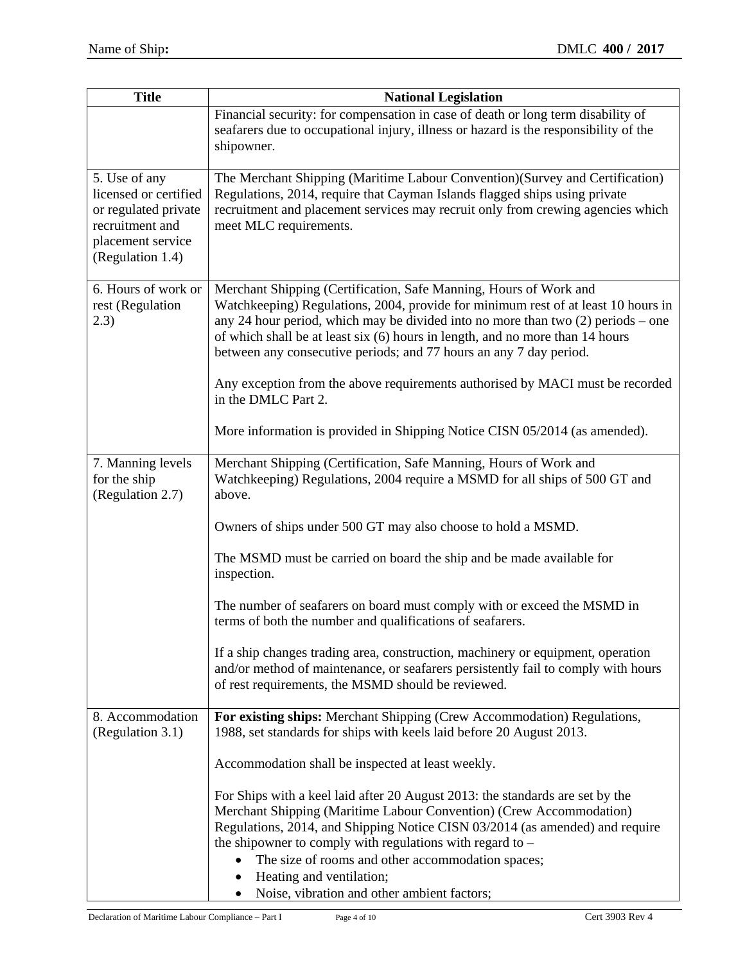| <b>Title</b>                                                                                                               | <b>National Legislation</b>                                                                                                                                                                                                                                                                                                                                                                         |
|----------------------------------------------------------------------------------------------------------------------------|-----------------------------------------------------------------------------------------------------------------------------------------------------------------------------------------------------------------------------------------------------------------------------------------------------------------------------------------------------------------------------------------------------|
|                                                                                                                            | Financial security: for compensation in case of death or long term disability of<br>seafarers due to occupational injury, illness or hazard is the responsibility of the<br>shipowner.                                                                                                                                                                                                              |
| 5. Use of any<br>licensed or certified<br>or regulated private<br>recruitment and<br>placement service<br>(Regulation 1.4) | The Merchant Shipping (Maritime Labour Convention)(Survey and Certification)<br>Regulations, 2014, require that Cayman Islands flagged ships using private<br>recruitment and placement services may recruit only from crewing agencies which<br>meet MLC requirements.                                                                                                                             |
| 6. Hours of work or<br>rest (Regulation<br>2.3)                                                                            | Merchant Shipping (Certification, Safe Manning, Hours of Work and<br>Watchkeeping) Regulations, 2004, provide for minimum rest of at least 10 hours in<br>any 24 hour period, which may be divided into no more than two $(2)$ periods – one<br>of which shall be at least six (6) hours in length, and no more than 14 hours<br>between any consecutive periods; and 77 hours an any 7 day period. |
|                                                                                                                            | Any exception from the above requirements authorised by MACI must be recorded<br>in the DMLC Part 2.                                                                                                                                                                                                                                                                                                |
|                                                                                                                            | More information is provided in Shipping Notice CISN 05/2014 (as amended).                                                                                                                                                                                                                                                                                                                          |
| 7. Manning levels<br>for the ship<br>(Regulation 2.7)                                                                      | Merchant Shipping (Certification, Safe Manning, Hours of Work and<br>Watchkeeping) Regulations, 2004 require a MSMD for all ships of 500 GT and<br>above.                                                                                                                                                                                                                                           |
|                                                                                                                            | Owners of ships under 500 GT may also choose to hold a MSMD.                                                                                                                                                                                                                                                                                                                                        |
|                                                                                                                            | The MSMD must be carried on board the ship and be made available for<br>inspection.                                                                                                                                                                                                                                                                                                                 |
|                                                                                                                            | The number of seafarers on board must comply with or exceed the MSMD in<br>terms of both the number and qualifications of seafarers.                                                                                                                                                                                                                                                                |
|                                                                                                                            | If a ship changes trading area, construction, machinery or equipment, operation<br>and/or method of maintenance, or seafarers persistently fail to comply with hours<br>of rest requirements, the MSMD should be reviewed.                                                                                                                                                                          |
| 8. Accommodation<br>(Regulation 3.1)                                                                                       | For existing ships: Merchant Shipping (Crew Accommodation) Regulations,<br>1988, set standards for ships with keels laid before 20 August 2013.                                                                                                                                                                                                                                                     |
|                                                                                                                            | Accommodation shall be inspected at least weekly.                                                                                                                                                                                                                                                                                                                                                   |
|                                                                                                                            | For Ships with a keel laid after 20 August 2013: the standards are set by the<br>Merchant Shipping (Maritime Labour Convention) (Crew Accommodation)<br>Regulations, 2014, and Shipping Notice CISN 03/2014 (as amended) and require<br>the shipowner to comply with regulations with regard to $-$<br>The size of rooms and other accommodation spaces;<br>Heating and ventilation;                |
|                                                                                                                            | Noise, vibration and other ambient factors;<br>٠                                                                                                                                                                                                                                                                                                                                                    |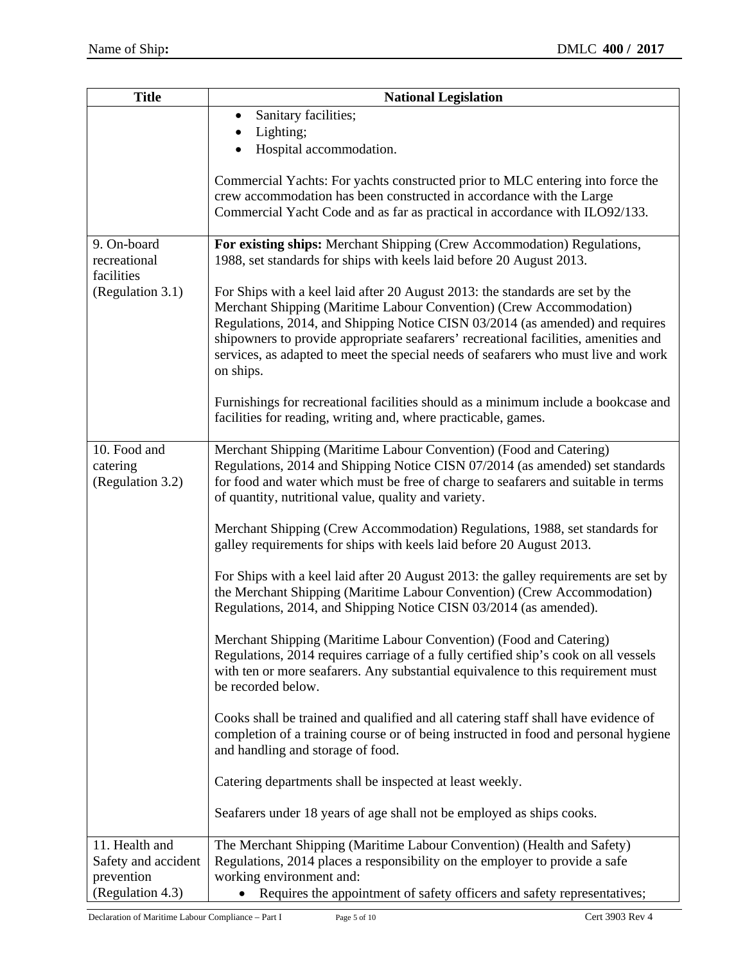| Commercial Yachts: For yachts constructed prior to MLC entering into force the      |
|-------------------------------------------------------------------------------------|
|                                                                                     |
| Commercial Yacht Code and as far as practical in accordance with ILO92/133.         |
| For existing ships: Merchant Shipping (Crew Accommodation) Regulations,             |
|                                                                                     |
|                                                                                     |
|                                                                                     |
| Regulations, 2014, and Shipping Notice CISN 03/2014 (as amended) and requires       |
| shipowners to provide appropriate seafarers' recreational facilities, amenities and |
| services, as adapted to meet the special needs of seafarers who must live and work  |
|                                                                                     |
| Furnishings for recreational facilities should as a minimum include a bookcase and  |
|                                                                                     |
|                                                                                     |
| Regulations, 2014 and Shipping Notice CISN 07/2014 (as amended) set standards       |
| for food and water which must be free of charge to seafarers and suitable in terms  |
|                                                                                     |
| Merchant Shipping (Crew Accommodation) Regulations, 1988, set standards for         |
|                                                                                     |
| For Ships with a keel laid after 20 August 2013: the galley requirements are set by |
| the Merchant Shipping (Maritime Labour Convention) (Crew Accommodation)             |
|                                                                                     |
|                                                                                     |
| Regulations, 2014 requires carriage of a fully certified ship's cook on all vessels |
| with ten or more seafarers. Any substantial equivalence to this requirement must    |
|                                                                                     |
| Cooks shall be trained and qualified and all catering staff shall have evidence of  |
| completion of a training course or of being instructed in food and personal hygiene |
|                                                                                     |
|                                                                                     |
|                                                                                     |
|                                                                                     |
|                                                                                     |
|                                                                                     |
| Requires the appointment of safety officers and safety representatives;             |
| Merchant Shipping (Maritime Labour Convention) (Crew Accommodation)                 |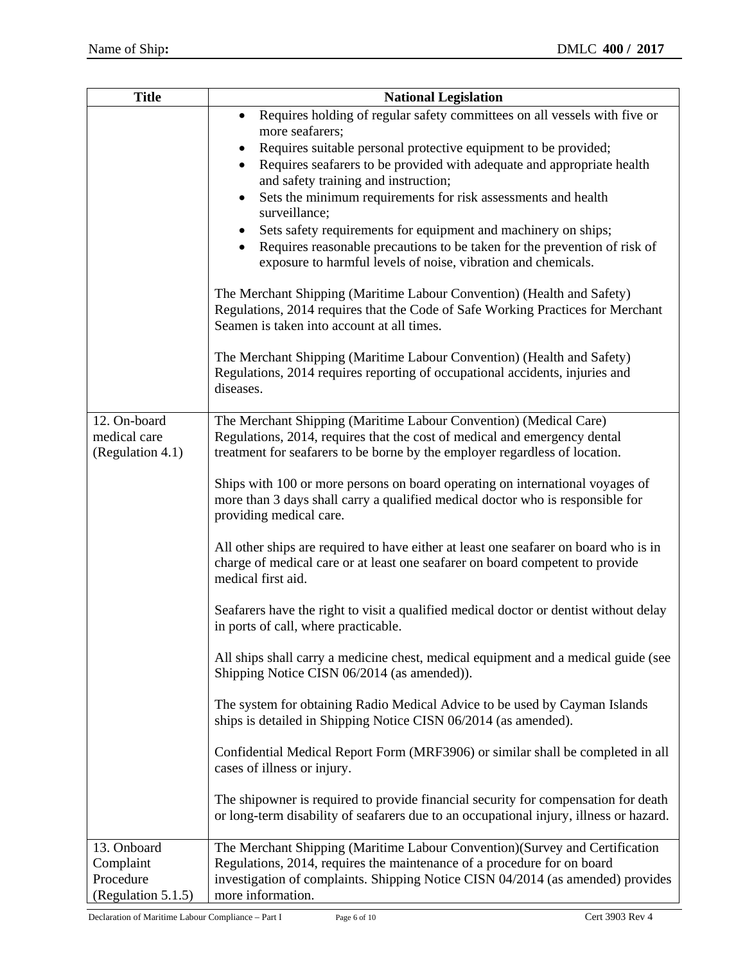| <b>Title</b>                                                | <b>National Legislation</b>                                                                                                                                                                                                                                                                        |
|-------------------------------------------------------------|----------------------------------------------------------------------------------------------------------------------------------------------------------------------------------------------------------------------------------------------------------------------------------------------------|
|                                                             | Requires holding of regular safety committees on all vessels with five or<br>$\bullet$<br>more seafarers;                                                                                                                                                                                          |
|                                                             | Requires suitable personal protective equipment to be provided;<br>$\bullet$<br>Requires seafarers to be provided with adequate and appropriate health<br>$\bullet$<br>and safety training and instruction;<br>Sets the minimum requirements for risk assessments and health<br>٠<br>surveillance; |
|                                                             | Sets safety requirements for equipment and machinery on ships;<br>$\bullet$<br>Requires reasonable precautions to be taken for the prevention of risk of<br>exposure to harmful levels of noise, vibration and chemicals.                                                                          |
|                                                             | The Merchant Shipping (Maritime Labour Convention) (Health and Safety)<br>Regulations, 2014 requires that the Code of Safe Working Practices for Merchant<br>Seamen is taken into account at all times.                                                                                            |
|                                                             | The Merchant Shipping (Maritime Labour Convention) (Health and Safety)<br>Regulations, 2014 requires reporting of occupational accidents, injuries and<br>diseases.                                                                                                                                |
| 12. On-board                                                | The Merchant Shipping (Maritime Labour Convention) (Medical Care)                                                                                                                                                                                                                                  |
| medical care<br>(Regulation 4.1)                            | Regulations, 2014, requires that the cost of medical and emergency dental<br>treatment for seafarers to be borne by the employer regardless of location.                                                                                                                                           |
|                                                             | Ships with 100 or more persons on board operating on international voyages of<br>more than 3 days shall carry a qualified medical doctor who is responsible for<br>providing medical care.                                                                                                         |
|                                                             | All other ships are required to have either at least one seafarer on board who is in<br>charge of medical care or at least one seafarer on board competent to provide<br>medical first aid.                                                                                                        |
|                                                             | Seafarers have the right to visit a qualified medical doctor or dentist without delay<br>in ports of call, where practicable.                                                                                                                                                                      |
|                                                             | All ships shall carry a medicine chest, medical equipment and a medical guide (see<br>Shipping Notice CISN 06/2014 (as amended)).                                                                                                                                                                  |
|                                                             | The system for obtaining Radio Medical Advice to be used by Cayman Islands<br>ships is detailed in Shipping Notice CISN 06/2014 (as amended).                                                                                                                                                      |
|                                                             | Confidential Medical Report Form (MRF3906) or similar shall be completed in all<br>cases of illness or injury.                                                                                                                                                                                     |
|                                                             | The shipowner is required to provide financial security for compensation for death<br>or long-term disability of seafarers due to an occupational injury, illness or hazard.                                                                                                                       |
| 13. Onboard<br>Complaint<br>Procedure<br>(Regulation 5.1.5) | The Merchant Shipping (Maritime Labour Convention)(Survey and Certification<br>Regulations, 2014, requires the maintenance of a procedure for on board<br>investigation of complaints. Shipping Notice CISN 04/2014 (as amended) provides<br>more information.                                     |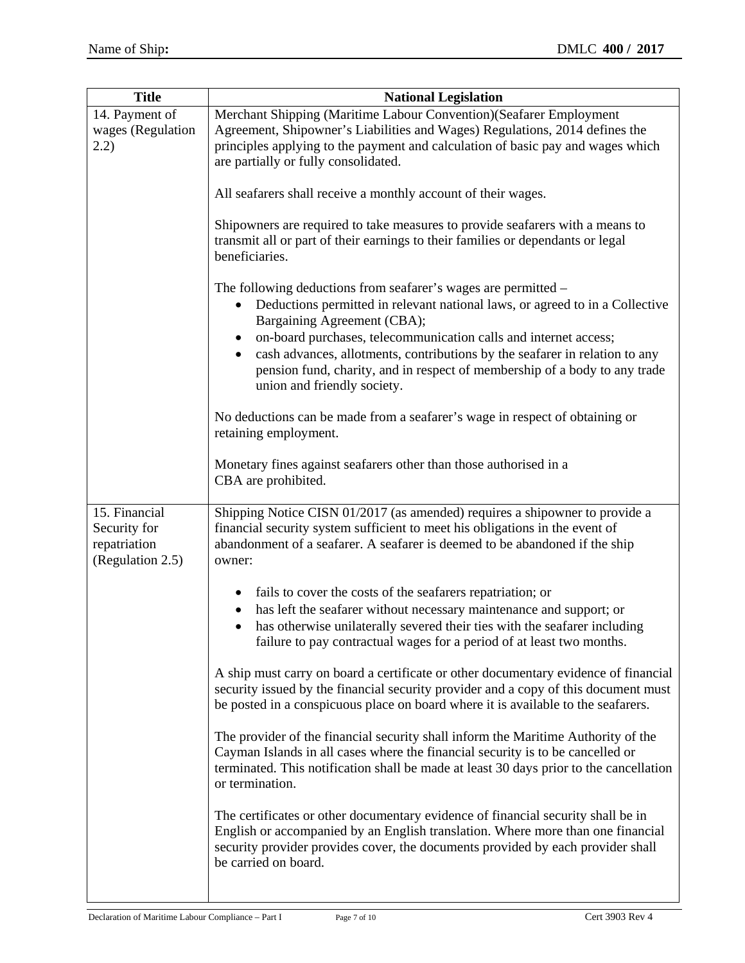| <b>Title</b>                                                      | <b>National Legislation</b>                                                                                                                                                                                                                                                                                                      |
|-------------------------------------------------------------------|----------------------------------------------------------------------------------------------------------------------------------------------------------------------------------------------------------------------------------------------------------------------------------------------------------------------------------|
| 14. Payment of                                                    | Merchant Shipping (Maritime Labour Convention) (Seafarer Employment                                                                                                                                                                                                                                                              |
| wages (Regulation                                                 | Agreement, Shipowner's Liabilities and Wages) Regulations, 2014 defines the                                                                                                                                                                                                                                                      |
| (2.2)                                                             | principles applying to the payment and calculation of basic pay and wages which<br>are partially or fully consolidated.                                                                                                                                                                                                          |
|                                                                   |                                                                                                                                                                                                                                                                                                                                  |
|                                                                   | All seafarers shall receive a monthly account of their wages.                                                                                                                                                                                                                                                                    |
|                                                                   | Shipowners are required to take measures to provide seafarers with a means to<br>transmit all or part of their earnings to their families or dependants or legal<br>beneficiaries.                                                                                                                                               |
|                                                                   | The following deductions from seafarer's wages are permitted -<br>Deductions permitted in relevant national laws, or agreed to in a Collective<br>Bargaining Agreement (CBA);<br>on-board purchases, telecommunication calls and internet access;<br>cash advances, allotments, contributions by the seafarer in relation to any |
|                                                                   | pension fund, charity, and in respect of membership of a body to any trade<br>union and friendly society.                                                                                                                                                                                                                        |
|                                                                   | No deductions can be made from a seafarer's wage in respect of obtaining or<br>retaining employment.                                                                                                                                                                                                                             |
|                                                                   | Monetary fines against seafarers other than those authorised in a<br>CBA are prohibited.                                                                                                                                                                                                                                         |
| 15. Financial<br>Security for<br>repatriation<br>(Regulation 2.5) | Shipping Notice CISN 01/2017 (as amended) requires a shipowner to provide a<br>financial security system sufficient to meet his obligations in the event of<br>abandonment of a seafarer. A seafarer is deemed to be abandoned if the ship<br>owner:                                                                             |
|                                                                   | fails to cover the costs of the seafarers repatriation; or<br>$\bullet$                                                                                                                                                                                                                                                          |
|                                                                   | has left the seafarer without necessary maintenance and support; or                                                                                                                                                                                                                                                              |
|                                                                   | has otherwise unilaterally severed their ties with the seafarer including<br>failure to pay contractual wages for a period of at least two months.                                                                                                                                                                               |
|                                                                   | A ship must carry on board a certificate or other documentary evidence of financial<br>security issued by the financial security provider and a copy of this document must<br>be posted in a conspicuous place on board where it is available to the seafarers.                                                                  |
|                                                                   | The provider of the financial security shall inform the Maritime Authority of the<br>Cayman Islands in all cases where the financial security is to be cancelled or<br>terminated. This notification shall be made at least 30 days prior to the cancellation<br>or termination.                                                 |
|                                                                   | The certificates or other documentary evidence of financial security shall be in<br>English or accompanied by an English translation. Where more than one financial<br>security provider provides cover, the documents provided by each provider shall<br>be carried on board.                                                   |
|                                                                   |                                                                                                                                                                                                                                                                                                                                  |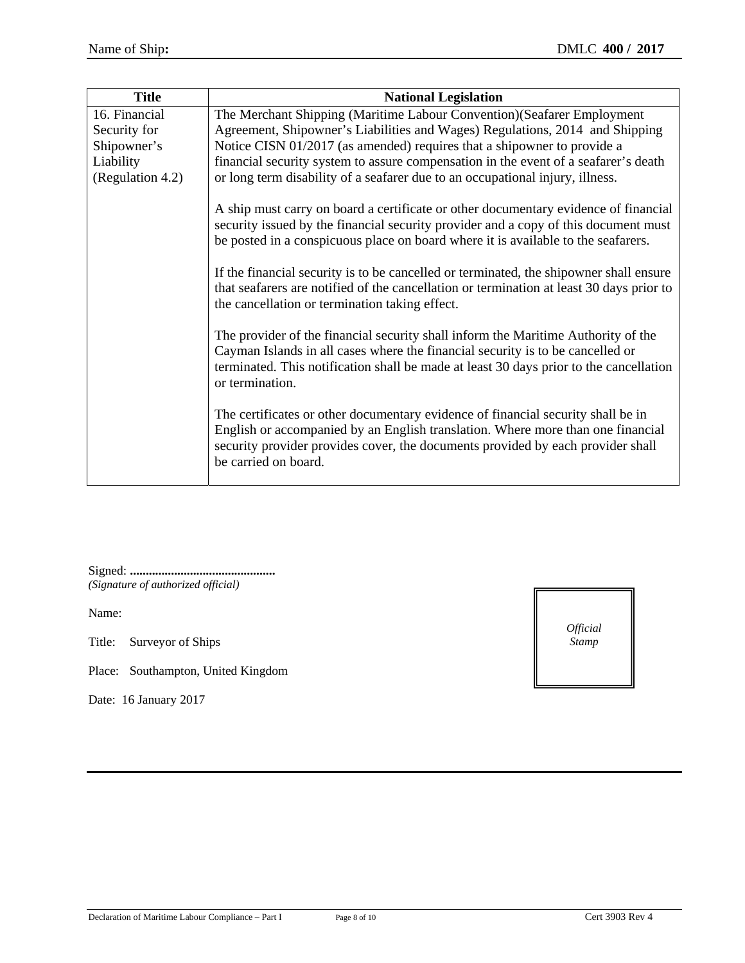| <b>Title</b>     | <b>National Legislation</b>                                                                                                                                                                                                                                                      |
|------------------|----------------------------------------------------------------------------------------------------------------------------------------------------------------------------------------------------------------------------------------------------------------------------------|
| 16. Financial    | The Merchant Shipping (Maritime Labour Convention) (Seafarer Employment                                                                                                                                                                                                          |
| Security for     | Agreement, Shipowner's Liabilities and Wages) Regulations, 2014 and Shipping                                                                                                                                                                                                     |
| Shipowner's      | Notice CISN 01/2017 (as amended) requires that a shipowner to provide a                                                                                                                                                                                                          |
| Liability        | financial security system to assure compensation in the event of a seafarer's death                                                                                                                                                                                              |
| (Regulation 4.2) | or long term disability of a seafarer due to an occupational injury, illness.                                                                                                                                                                                                    |
|                  | A ship must carry on board a certificate or other documentary evidence of financial<br>security issued by the financial security provider and a copy of this document must<br>be posted in a conspicuous place on board where it is available to the seafarers.                  |
|                  | If the financial security is to be cancelled or terminated, the shipowner shall ensure<br>that seafarers are notified of the cancellation or termination at least 30 days prior to<br>the cancellation or termination taking effect.                                             |
|                  | The provider of the financial security shall inform the Maritime Authority of the<br>Cayman Islands in all cases where the financial security is to be cancelled or<br>terminated. This notification shall be made at least 30 days prior to the cancellation<br>or termination. |
|                  | The certificates or other documentary evidence of financial security shall be in<br>English or accompanied by an English translation. Where more than one financial<br>security provider provides cover, the documents provided by each provider shall<br>be carried on board.   |

Signed: **..............................................** *(Signature of authorized official)* 

Name:

Title: Surveyor of Ships

Place: Southampton, United Kingdom

Date: 16 January 2017

*Official Stamp*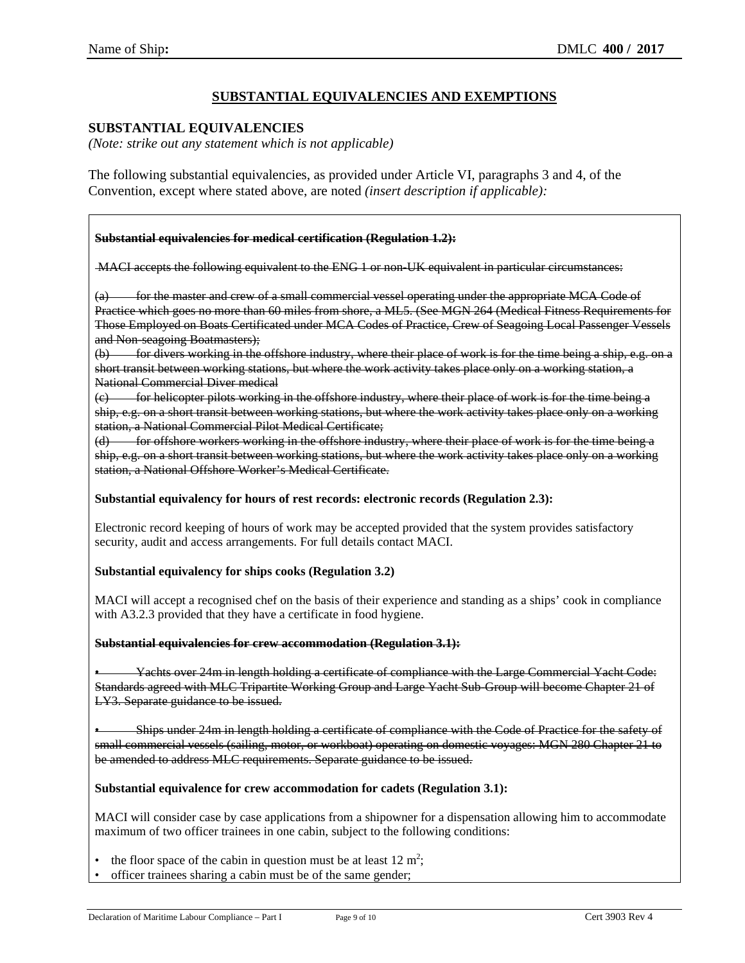## **SUBSTANTIAL EQUIVALENCIES AND EXEMPTIONS**

## **SUBSTANTIAL EQUIVALENCIES**

*(Note: strike out any statement which is not applicable)* 

The following substantial equivalencies, as provided under Article VI, paragraphs 3 and 4, of the Convention, except where stated above, are noted *(insert description if applicable):*

### **Substantial equivalencies for medical certification (Regulation 1.2):**

MACI accepts the following equivalent to the ENG 1 or non-UK equivalent in particular circumstances:

for the master and crew of a small commercial vessel operating under the appropriate MCA Code of Practice which goes no more than 60 miles from shore, a ML5. (See MGN 264 (Medical Fitness Requirements for Those Employed on Boats Certificated under MCA Codes of Practice, Crew of Seagoing Local Passenger Vessels and Non-seagoing Boatmasters);

(b) for divers working in the offshore industry, where their place of work is for the time being a ship, e.g. on a short transit between working stations, but where the work activity takes place only on a working station, a National Commercial Diver medical

(c) for helicopter pilots working in the offshore industry, where their place of work is for the time being a ship, e.g. on a short transit between working stations, but where the work activity takes place only on a working station, a National Commercial Pilot Medical Certificate;

(d) for offshore workers working in the offshore industry, where their place of work is for the time being a ship, e.g. on a short transit between working stations, but where the work activity takes place only on a working station, a National Offshore Worker's Medical Certificate.

### **Substantial equivalency for hours of rest records: electronic records (Regulation 2.3):**

Electronic record keeping of hours of work may be accepted provided that the system provides satisfactory security, audit and access arrangements. For full details contact MACI.

### **Substantial equivalency for ships cooks (Regulation 3.2)**

MACI will accept a recognised chef on the basis of their experience and standing as a ships' cook in compliance with A3.2.3 provided that they have a certificate in food hygiene.

#### **Substantial equivalencies for crew accommodation (Regulation 3.1):**

• Yachts over 24m in length holding a certificate of compliance with the Large Commercial Yacht Code: Standards agreed with MLC Tripartite Working Group and Large Yacht Sub-Group will become Chapter 21 of LY3. Separate guidance to be issued.

• Ships under 24m in length holding a certificate of compliance with the Code of Practice for the safety of small commercial vessels (sailing, motor, or workboat) operating on domestic voyages: MGN 280 Chapter 21 to be amended to address MLC requirements. Separate guidance to be issued.

### **Substantial equivalence for crew accommodation for cadets (Regulation 3.1):**

MACI will consider case by case applications from a shipowner for a dispensation allowing him to accommodate maximum of two officer trainees in one cabin, subject to the following conditions:

- the floor space of the cabin in question must be at least  $12 \text{ m}^2$ ;
- officer trainees sharing a cabin must be of the same gender;